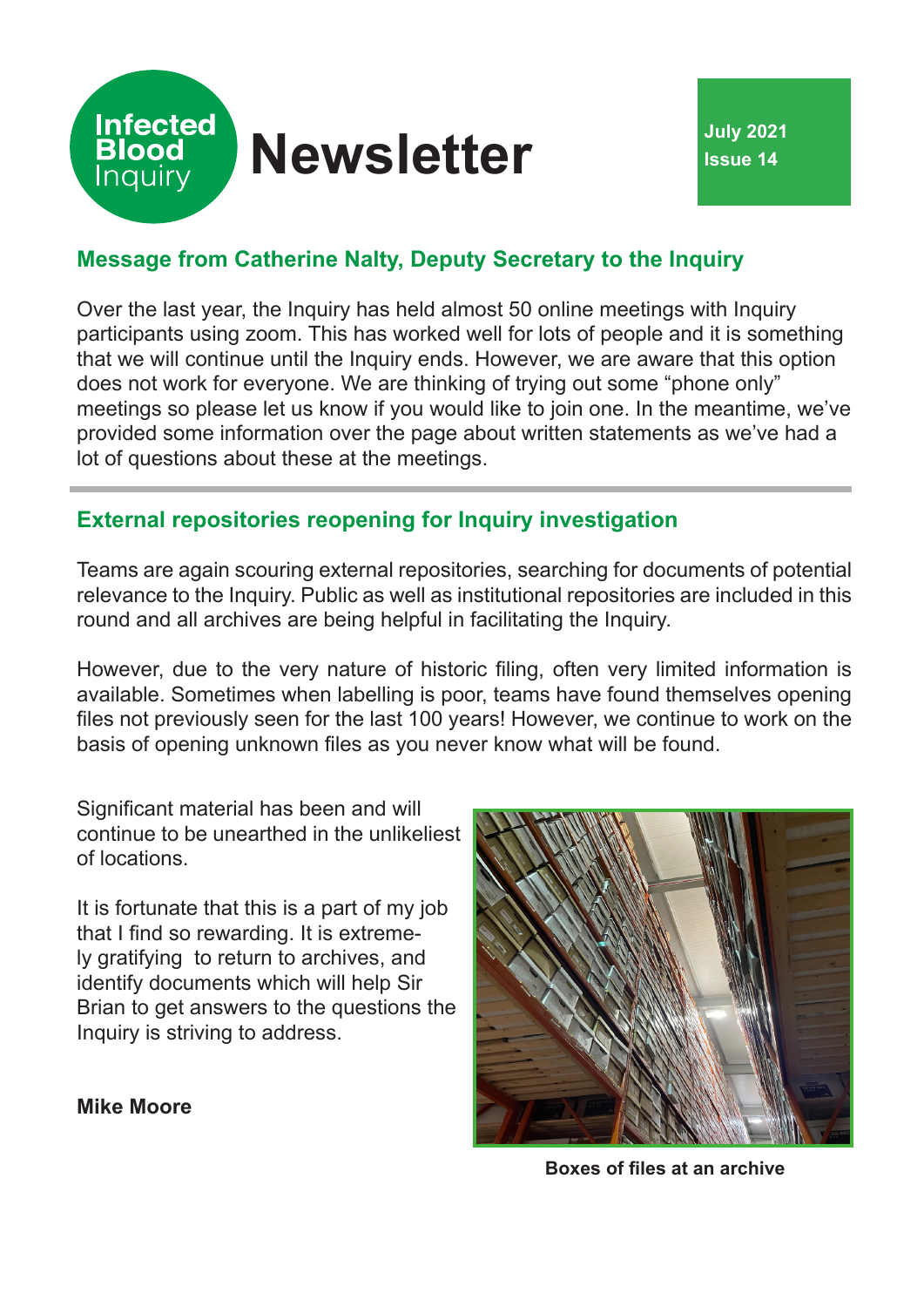

# **Message from Catherine Nalty, Deputy Secretary to the Inquiry**

Over the last year, the Inquiry has held almost 50 online meetings with Inquiry participants using zoom. This has worked well for lots of people and it is something that we will continue until the Inquiry ends. However, we are aware that this option does not work for everyone. We are thinking of trying out some "phone only" meetings so please let us know if you would like to join one. In the meantime, we've provided some information over the page about written statements as we've had a lot of questions about these at the meetings.

## **External repositories reopening for Inquiry investigation**

Teams are again scouring external repositories, searching for documents of potential relevance to the Inquiry. Public as well as institutional repositories are included in this round and all archives are being helpful in facilitating the Inquiry.

However, due to the very nature of historic filing, often very limited information is available. Sometimes when labelling is poor, teams have found themselves opening files not previously seen for the last 100 years! However, we continue to work on the basis of opening unknown files as you never know what will be found.

Significant material has been and will continue to be unearthed in the unlikeliest of locations.

It is fortunate that this is a part of my job that I find so rewarding. It is extremely gratifying to return to archives, and identify documents which will help Sir Brian to get answers to the questions the Inquiry is striving to address.



**Boxes of files at an archive**

**Mike Moore**